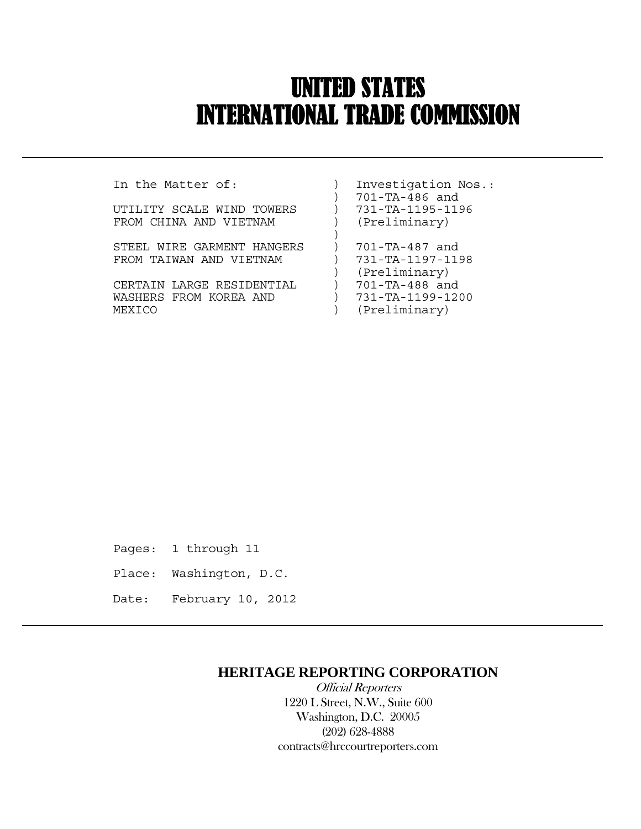# UNITED STATES INTERNATIONAL TRADE COMMISSION

 $\overline{a}$ 

UTILITY SCALE WIND TOWERS  $\qquad$  ) FROM CHINA AND VIETNAM (Preliminary)

STEEL WIRE GARMENT HANGERS ) 701-TA-487 and FROM TAIWAN AND VIETNAM ) 731-TA-1197-1198

CERTAIN LARGE RESIDENTIAL ) 701-TA-488 and WASHERS FROM KOREA AND (731-TA-1199-1200 MEXICO ) (Preliminary)

In the Matter of: ) Investigation Nos.: ) 701-TA-486 and<br>) 731-TA-1195-1196 )

- ) (Preliminary)
	-
	-

Pages: 1 through 11

- Place: Washington, D.C.
- Date: February 10, 2012

## **HERITAGE REPORTING CORPORATION**

 Official Reporters 1220 L Street, N.W., Suite 600 Washington, D.C. 20005 (202) 628-4888 contracts@hrccourtreporters.com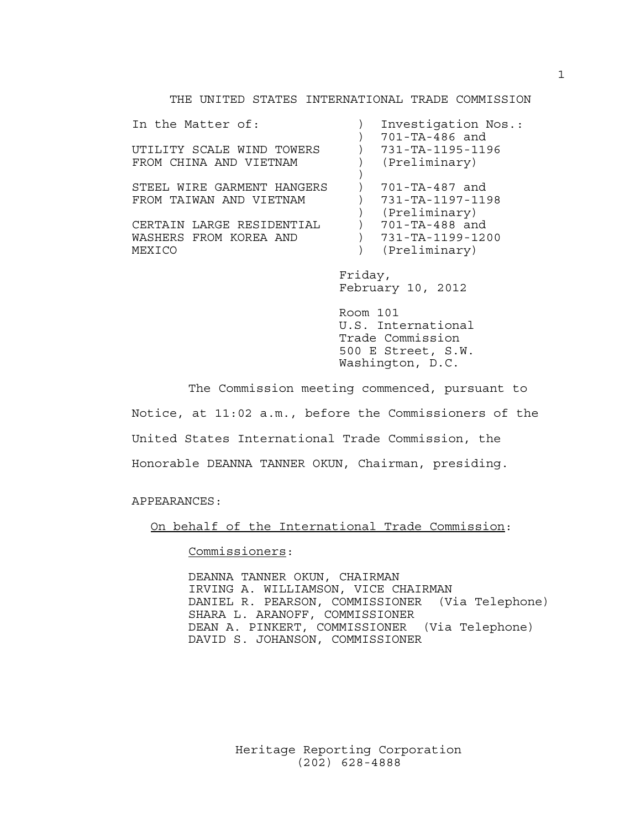## THE UNITED STATES INTERNATIONAL TRADE COMMISSION

In the Matter of: ) Investigation Nos.: ) 701-TA-486 and UTILITY SCALE WIND TOWERS ) 731-TA-1195-1196 FROM CHINA AND VIETNAM (Preliminary)  $)$ STEEL WIRE GARMENT HANGERS ) 701-TA-487 and FROM TAIWAN AND VIETNAM ) 731-TA-1197-1198 ) (Preliminary)<br>) 701-TA-488 and CERTAIN LARGE RESIDENTIAL ) 701-TA-488 and<br>WASHERS FROM KOREA AND ) 731-TA-1199-1200 WASHERS FROM KOREA AND  $)$ MEXICO ) (Preliminary)

 Friday, February 10, 2012

 Room 101 U.S. International Trade Commission 500 E Street, S.W. Washington, D.C.

 The Commission meeting commenced, pursuant to Notice, at 11:02 a.m., before the Commissioners of the United States International Trade Commission, the Honorable DEANNA TANNER OKUN, Chairman, presiding.

APPEARANCES:

On behalf of the International Trade Commission:

Commissioners:

 DEANNA TANNER OKUN, CHAIRMAN IRVING A. WILLIAMSON, VICE CHAIRMAN DANIEL R. PEARSON, COMMISSIONER (Via Telephone) SHARA L. ARANOFF, COMMISSIONER DEAN A. PINKERT, COMMISSIONER (Via Telephone) DAVID S. JOHANSON, COMMISSIONER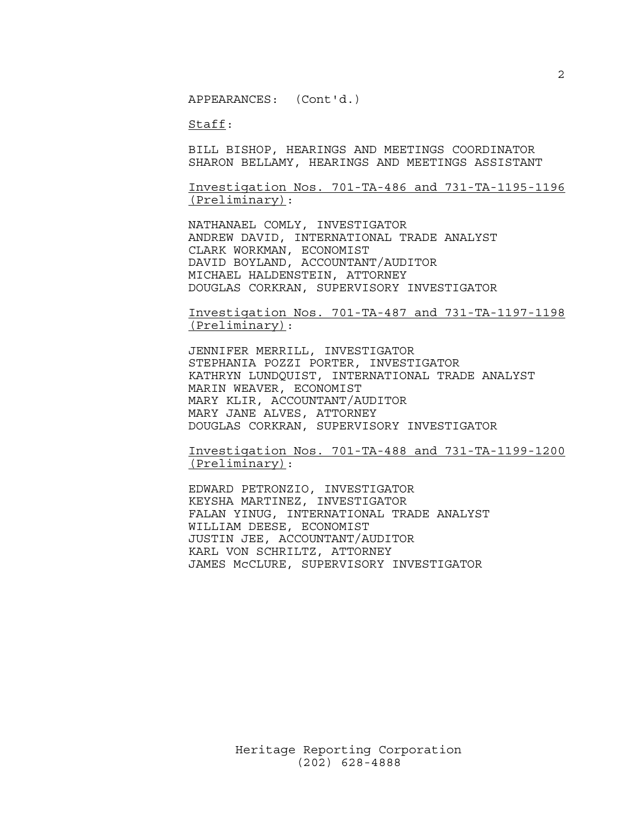APPEARANCES: (Cont'd.)

Staff:

 BILL BISHOP, HEARINGS AND MEETINGS COORDINATOR SHARON BELLAMY, HEARINGS AND MEETINGS ASSISTANT

 Investigation Nos. 701-TA-486 and 731-TA-1195-1196 (Preliminary):

 NATHANAEL COMLY, INVESTIGATOR ANDREW DAVID, INTERNATIONAL TRADE ANALYST CLARK WORKMAN, ECONOMIST DAVID BOYLAND, ACCOUNTANT/AUDITOR MICHAEL HALDENSTEIN, ATTORNEY DOUGLAS CORKRAN, SUPERVISORY INVESTIGATOR

 Investigation Nos. 701-TA-487 and 731-TA-1197-1198 (Preliminary):

 JENNIFER MERRILL, INVESTIGATOR STEPHANIA POZZI PORTER, INVESTIGATOR KATHRYN LUNDQUIST, INTERNATIONAL TRADE ANALYST MARIN WEAVER, ECONOMIST MARY KLIR, ACCOUNTANT/AUDITOR MARY JANE ALVES, ATTORNEY DOUGLAS CORKRAN, SUPERVISORY INVESTIGATOR

 Investigation Nos. 701-TA-488 and 731-TA-1199-1200 (Preliminary):

 EDWARD PETRONZIO, INVESTIGATOR KEYSHA MARTINEZ, INVESTIGATOR FALAN YINUG, INTERNATIONAL TRADE ANALYST WILLIAM DEESE, ECONOMIST JUSTIN JEE, ACCOUNTANT/AUDITOR KARL VON SCHRILTZ, ATTORNEY JAMES McCLURE, SUPERVISORY INVESTIGATOR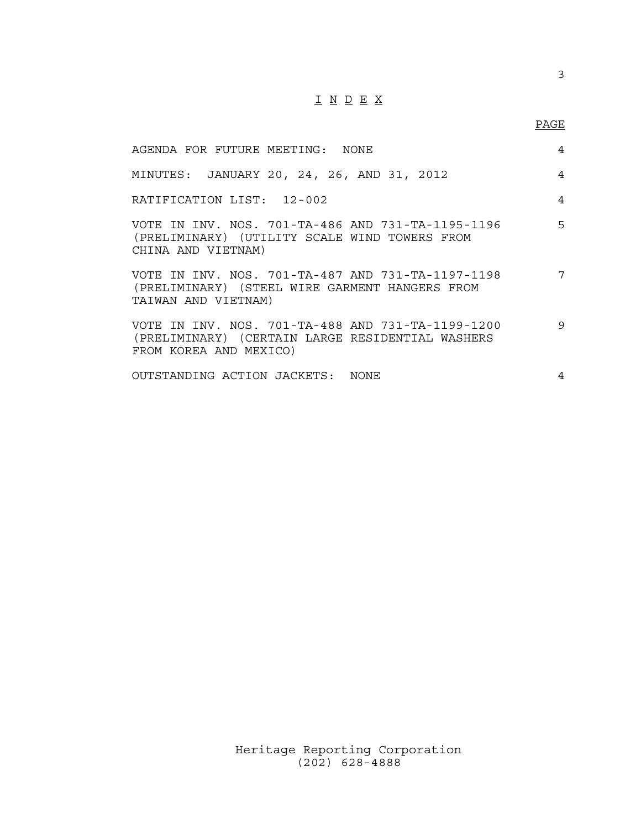## I N D E X

## en de la provincia de la provincia de la provincia de la provincia de la provincia de la provincia de la provi<br>Para la provincia de la provincia de la provincia de la provincia de la provincia de la provincia de la provin

| AGENDA FOR FUTURE MEETING: NONE                                                                                                 | 4 |
|---------------------------------------------------------------------------------------------------------------------------------|---|
| MINUTES: JANUARY 20, 24, 26, AND 31, 2012                                                                                       | 4 |
| RATIFICATION LIST: 12-002                                                                                                       | 4 |
| VOTE IN INV. NOS. 701-TA-486 AND 731-TA-1195-1196<br>(PRELIMINARY) (UTILITY SCALE WIND TOWERS FROM<br>CHINA AND VIETNAM)        | 5 |
| VOTE IN INV, NOS, 701-TA-487 AND 731-TA-1197-1198<br>(PRELIMINARY) (STEEL WIRE GARMENT HANGERS FROM<br>TAIWAN AND VIETNAM)      | 7 |
| VOTE IN INV. NOS. 701-TA-488 AND 731-TA-1199-1200<br>(PRELIMINARY) (CERTAIN LARGE RESIDENTIAL WASHERS<br>FROM KOREA AND MEXICO) | 9 |
| OUTSTANDING ACTION JACKETS: NONE                                                                                                | 4 |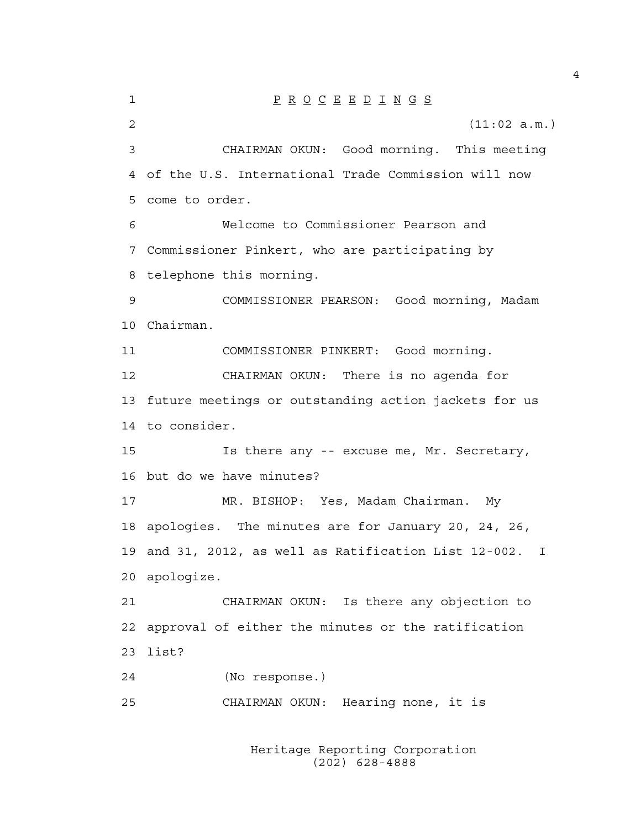1 P R O C E E D I N G S 2  $(11:02 \text{ a.m.})$ 3 CHAIRMAN OKUN: Good morning. This meeting 4 of the U.S. International Trade Commission will now 5 come to order. 6 Welcome to Commissioner Pearson and 7 Commissioner Pinkert, who are participating by 8 telephone this morning. 9 COMMISSIONER PEARSON: Good morning, Madam 10 Chairman. 11 COMMISSIONER PINKERT: Good morning. 12 CHAIRMAN OKUN: There is no agenda for 13 future meetings or outstanding action jackets for us 14 to consider. 15 Is there any -- excuse me, Mr. Secretary, 16 but do we have minutes? 17 MR. BISHOP: Yes, Madam Chairman. My 18 apologies. The minutes are for January 20, 24, 26, 19 and 31, 2012, as well as Ratification List 12-002. I 20 apologize. 21 CHAIRMAN OKUN: Is there any objection to 22 approval of either the minutes or the ratification 23 list? 24 (No response.) 25 CHAIRMAN OKUN: Hearing none, it is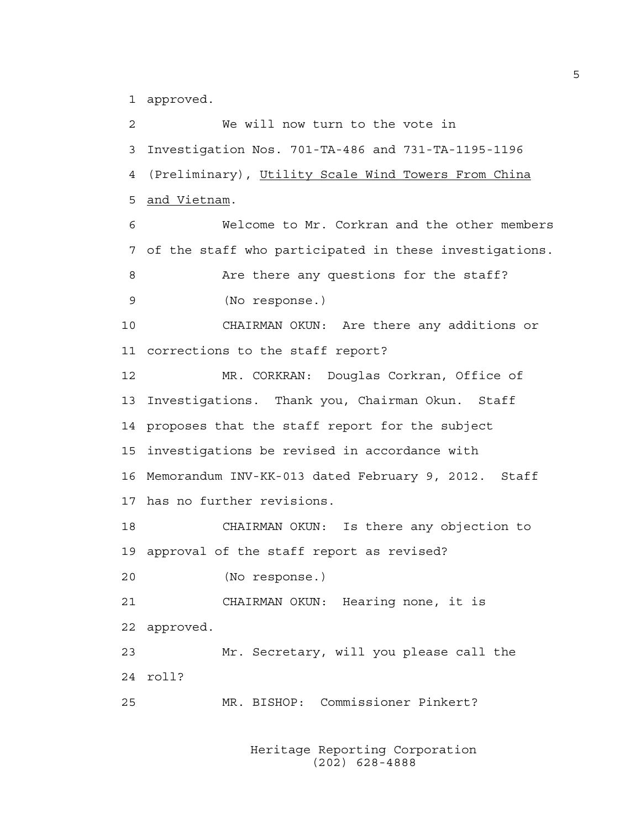1 approved.

2 We will now turn to the vote in 3 Investigation Nos. 701-TA-486 and 731-TA-1195-1196 4 (Preliminary), Utility Scale Wind Towers From China 5 and Vietnam. 6 Welcome to Mr. Corkran and the other members 7 of the staff who participated in these investigations. 8 Are there any questions for the staff? 9 (No response.) 10 CHAIRMAN OKUN: Are there any additions or 11 corrections to the staff report? 12 MR. CORKRAN: Douglas Corkran, Office of 13 Investigations. Thank you, Chairman Okun. Staff 14 proposes that the staff report for the subject 15 investigations be revised in accordance with 16 Memorandum INV-KK-013 dated February 9, 2012. Staff 17 has no further revisions. 18 CHAIRMAN OKUN: Is there any objection to 19 approval of the staff report as revised? 20 (No response.) 21 CHAIRMAN OKUN: Hearing none, it is 22 approved. 23 Mr. Secretary, will you please call the 24 roll? 25 MR. BISHOP: Commissioner Pinkert?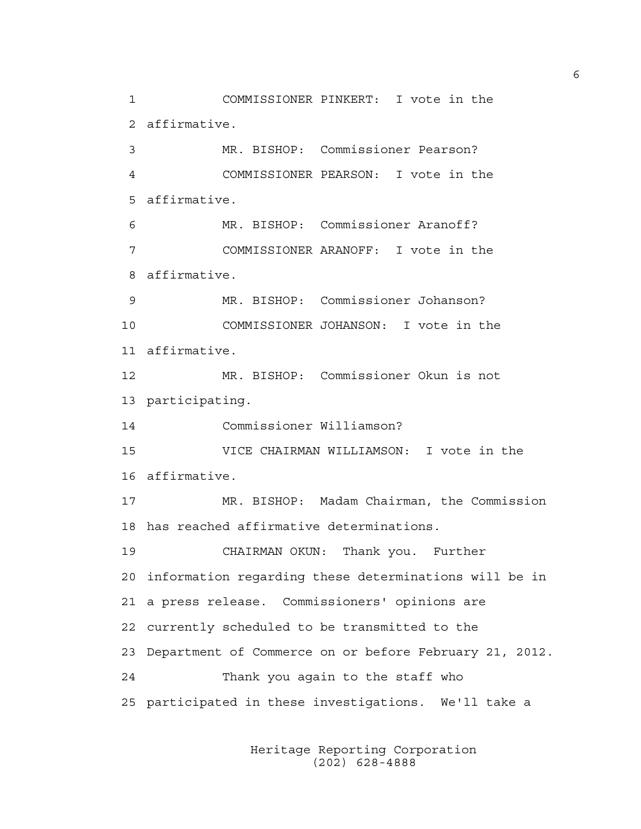1 COMMISSIONER PINKERT: I vote in the 2 affirmative. 3 MR. BISHOP: Commissioner Pearson? 4 COMMISSIONER PEARSON: I vote in the 5 affirmative. 6 MR. BISHOP: Commissioner Aranoff? 7 COMMISSIONER ARANOFF: I vote in the 8 affirmative. 9 MR. BISHOP: Commissioner Johanson? 10 COMMISSIONER JOHANSON: I vote in the 11 affirmative. 12 MR. BISHOP: Commissioner Okun is not 13 participating. 14 Commissioner Williamson? 15 VICE CHAIRMAN WILLIAMSON: I vote in the 16 affirmative. 17 MR. BISHOP: Madam Chairman, the Commission 18 has reached affirmative determinations. 19 CHAIRMAN OKUN: Thank you. Further 20 information regarding these determinations will be in 21 a press release. Commissioners' opinions are 22 currently scheduled to be transmitted to the 23 Department of Commerce on or before February 21, 2012. 24 Thank you again to the staff who 25 participated in these investigations. We'll take a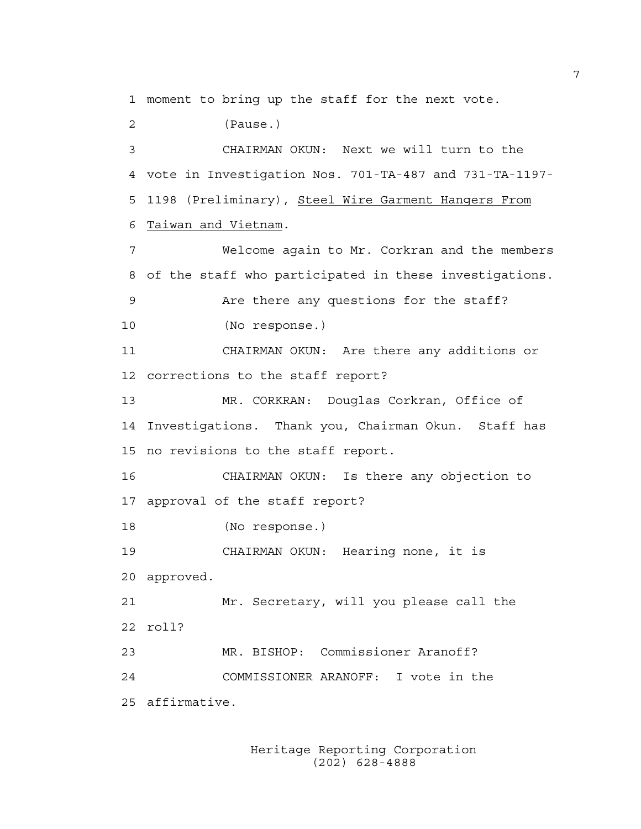1 moment to bring up the staff for the next vote.

2 (Pause.) 3 CHAIRMAN OKUN: Next we will turn to the 4 vote in Investigation Nos. 701-TA-487 and 731-TA-1197- 5 1198 (Preliminary), Steel Wire Garment Hangers From

6 Taiwan and Vietnam.

7 Welcome again to Mr. Corkran and the members 8 of the staff who participated in these investigations. 9 Are there any questions for the staff? 10 (No response.)

11 CHAIRMAN OKUN: Are there any additions or 12 corrections to the staff report?

13 MR. CORKRAN: Douglas Corkran, Office of 14 Investigations. Thank you, Chairman Okun. Staff has 15 no revisions to the staff report.

16 CHAIRMAN OKUN: Is there any objection to 17 approval of the staff report?

18 (No response.)

19 CHAIRMAN OKUN: Hearing none, it is 20 approved.

21 Mr. Secretary, will you please call the 22 roll?

23 MR. BISHOP: Commissioner Aranoff? 24 COMMISSIONER ARANOFF: I vote in the 25 affirmative.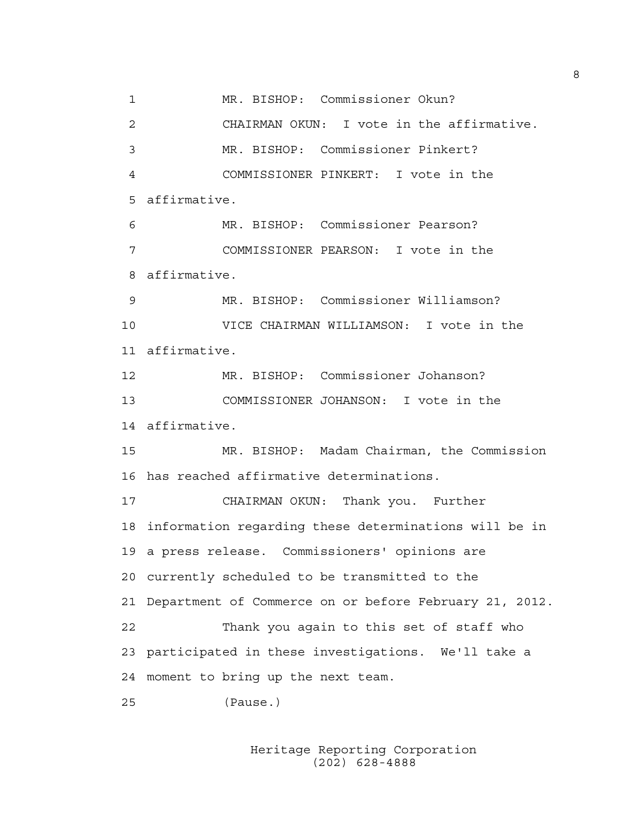1 MR. BISHOP: Commissioner Okun? 2 CHAIRMAN OKUN: I vote in the affirmative. 3 MR. BISHOP: Commissioner Pinkert? 4 COMMISSIONER PINKERT: I vote in the 5 affirmative. 6 MR. BISHOP: Commissioner Pearson? 7 COMMISSIONER PEARSON: I vote in the 8 affirmative. 9 MR. BISHOP: Commissioner Williamson? 10 VICE CHAIRMAN WILLIAMSON: I vote in the 11 affirmative. 12 MR. BISHOP: Commissioner Johanson? 13 COMMISSIONER JOHANSON: I vote in the 14 affirmative. 15 MR. BISHOP: Madam Chairman, the Commission 16 has reached affirmative determinations. 17 CHAIRMAN OKUN: Thank you. Further 18 information regarding these determinations will be in 19 a press release. Commissioners' opinions are 20 currently scheduled to be transmitted to the 21 Department of Commerce on or before February 21, 2012. 22 Thank you again to this set of staff who 23 participated in these investigations. We'll take a 24 moment to bring up the next team. 25 (Pause.)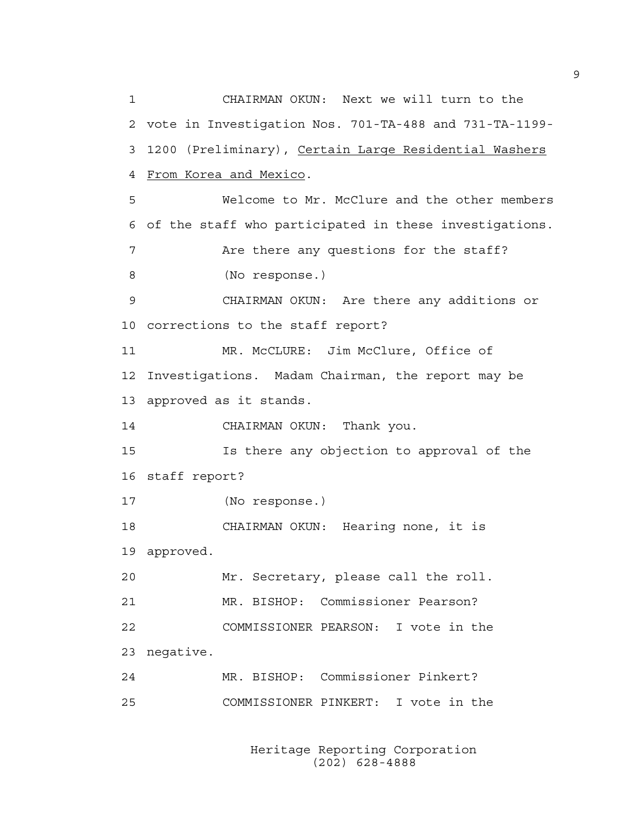1 CHAIRMAN OKUN: Next we will turn to the 2 vote in Investigation Nos. 701-TA-488 and 731-TA-1199- 3 1200 (Preliminary), Certain Large Residential Washers 4 From Korea and Mexico. 5 Welcome to Mr. McClure and the other members 6 of the staff who participated in these investigations. 7 Are there any questions for the staff? 8 (No response.) 9 CHAIRMAN OKUN: Are there any additions or 10 corrections to the staff report? 11 MR. McCLURE: Jim McClure, Office of 12 Investigations. Madam Chairman, the report may be 13 approved as it stands. 14 CHAIRMAN OKUN: Thank you. 15 Is there any objection to approval of the 16 staff report? 17 (No response.) 18 CHAIRMAN OKUN: Hearing none, it is 19 approved. 20 Mr. Secretary, please call the roll. 21 MR. BISHOP: Commissioner Pearson? 22 COMMISSIONER PEARSON: I vote in the 23 negative. 24 MR. BISHOP: Commissioner Pinkert? 25 COMMISSIONER PINKERT: I vote in the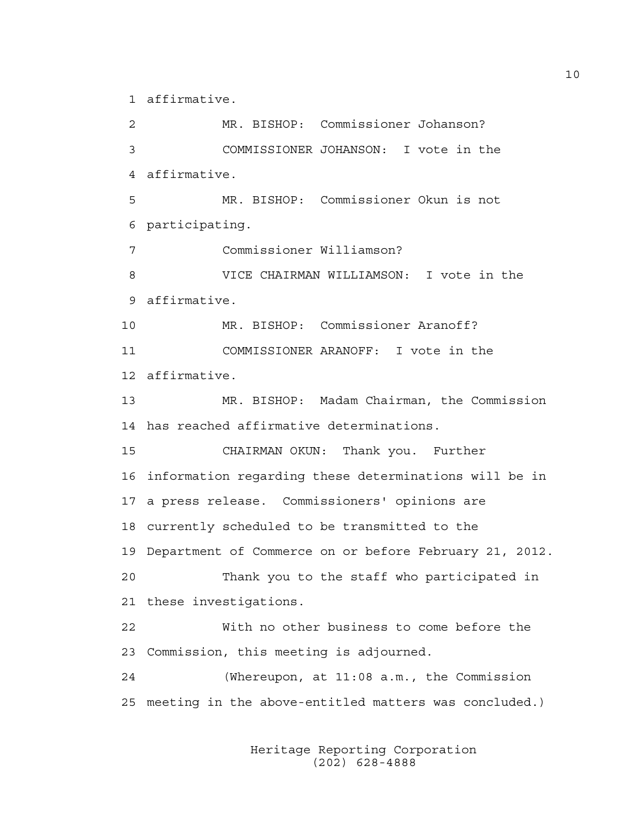1 affirmative.

2 MR. BISHOP: Commissioner Johanson? 3 COMMISSIONER JOHANSON: I vote in the 4 affirmative. 5 MR. BISHOP: Commissioner Okun is not 6 participating. 7 Commissioner Williamson? 8 VICE CHAIRMAN WILLIAMSON: I vote in the 9 affirmative. 10 MR. BISHOP: Commissioner Aranoff? 11 COMMISSIONER ARANOFF: I vote in the 12 affirmative. 13 MR. BISHOP: Madam Chairman, the Commission 14 has reached affirmative determinations. 15 CHAIRMAN OKUN: Thank you. Further 16 information regarding these determinations will be in 17 a press release. Commissioners' opinions are 18 currently scheduled to be transmitted to the 19 Department of Commerce on or before February 21, 2012. 20 Thank you to the staff who participated in 21 these investigations. 22 With no other business to come before the 23 Commission, this meeting is adjourned. 24 (Whereupon, at 11:08 a.m., the Commission 25 meeting in the above-entitled matters was concluded.)